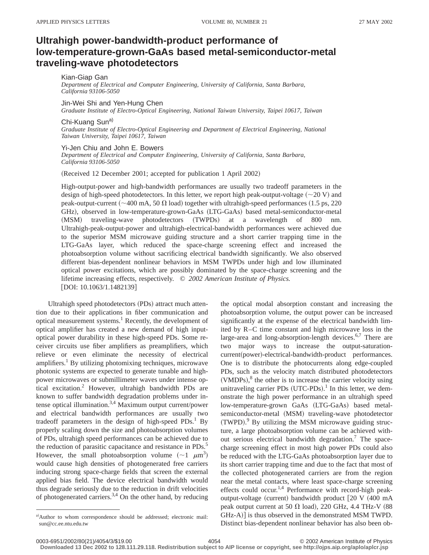## **Ultrahigh power-bandwidth-product performance of low-temperature-grown-GaAs based metal-semiconductor-metal traveling-wave photodetectors**

Kian-Giap Gan

*Department of Electrical and Computer Engineering, University of California, Santa Barbara, California 93106-5050*

Jin-Wei Shi and Yen-Hung Chen

*Graduate Institute of Electro-Optical Engineering, National Taiwan University, Taipei 10617, Taiwan*

Chi-Kuang Sun<sup>a)</sup>

*Graduate Institute of Electro-Optical Engineering and Department of Electrical Engineering, National Taiwan University, Taipei 10617, Taiwan*

Yi-Jen Chiu and John E. Bowers

*Department of Electrical and Computer Engineering, University of California, Santa Barbara, California 93106-5050*

(Received 12 December 2001; accepted for publication 1 April 2002)

High-output-power and high-bandwidth performances are usually two tradeoff parameters in the design of high-speed photodetectors. In this letter, we report high peak-output-voltage  $(\sim 20 \text{ V})$  and peak-output-current ( $\sim$ 400 mA, 50  $\Omega$  load) together with ultrahigh-speed performances (1.5 ps, 220 GHz), observed in low-temperature-grown-GaAs (LTG-GaAs) based metal-semiconductor-metal (MSM) traveling-wave photodetectors (TWPDs) at a wavelength of 800 nm. Ultrahigh-peak-output-power and ultrahigh-electrical-bandwidth performances were achieved due to the superior MSM microwave guiding structure and a short carrier trapping time in the LTG-GaAs layer, which reduced the space-charge screening effect and increased the photoabsorption volume without sacrificing electrical bandwidth significantly. We also observed different bias-dependent nonlinear behaviors in MSM TWPDs under high and low illuminated optical power excitations, which are possibly dominated by the space-charge screening and the lifetime increasing effects, respectively. © *2002 American Institute of Physics.* [DOI: 10.1063/1.1482139]

Ultrahigh speed photodetectors (PDs) attract much attention due to their applications in fiber communication and optical measurement systems.<sup>1</sup> Recently, the development of optical amplifier has created a new demand of high inputoptical power durability in these high-speed PDs. Some receiver circuits use fiber amplifiers as preamplifiers, which relieve or even eliminate the necessity of electrical amplifiers.<sup>1</sup> By utilizing photomixing techniques, microwave photonic systems are expected to generate tunable and highpower microwaves or submillimeter waves under intense optical excitation.2 However, ultrahigh bandwidth PDs are known to suffer bandwidth degradation problems under intense optical illumination.3,4 Maximum output current/power and electrical bandwidth performances are usually two tradeoff parameters in the design of high-speed PDs.<sup>1</sup> By properly scaling down the size and photoabsorption volumes of PDs, ultrahigh speed performances can be achieved due to the reduction of parasitic capacitance and resistance in PDs.<sup>5</sup> However, the small photoabsorption volume  $({\sim}1 \mu m^3)$ would cause high densities of photogenerated free carriers inducing strong space-charge fields that screen the external applied bias field. The device electrical bandwidth would thus degrade seriously due to the reduction in drift velocities of photogenerated carriers.<sup>3,4</sup> On the other hand, by reducing

the optical modal absorption constant and increasing the photoabsorption volume, the output power can be increased significantly at the expense of the electrical bandwidth limited by R–C time constant and high microwave loss in the large-area and long-absorption-length devices.<sup>6,7</sup> There are two major ways to increase the output-saturationcurrent(power)-electrical-bandwidth-product performances. One is to distribute the photocurrents along edge-coupled PDs, such as the velocity match distributed photodetectors  $(VMDPs)$ ,<sup>8</sup> the other is to increase the carrier velocity using unitraveling carrier PDs  $(UTC-PDs)$ .<sup>1</sup> In this letter, we demonstrate the high power performance in an ultrahigh speed low-temperature-grown GaAs (LTG-GaAs) based metalsemiconductor-metal (MSM) traveling-wave photodetector (TWPD).<sup>9</sup> By utilizing the MSM microwave guiding structure, a large photoabsorption volume can be achieved without serious electrical bandwidth degradation.7 The spacecharge screening effect in most high power PDs could also be reduced with the LTG-GaAs photoabsorption layer due to its short carrier trapping time and due to the fact that most of the collected photogenerated carriers are from the region near the metal contacts, where least space-charge screening effects could occur.<sup>1,4</sup> Performance with record-high peakoutput-voltage (current) bandwidth product  $[20 V (400 mA$ peak output current at 50  $\Omega$  load), 220 GHz, 4.4 THz-V (88) GHz-A)] is thus observed in the demonstrated MSM TWPD. Distinct bias-dependent nonlinear behavior has also been ob-

a)Author to whom correspondence should be addressed; electronic mail: sun@cc.ee.ntu.edu.tw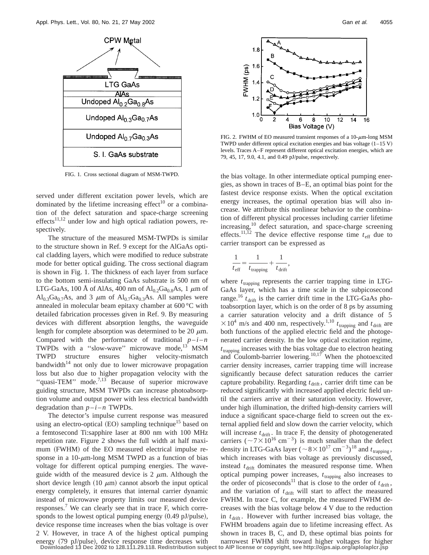

FIG. 1. Cross sectional diagram of MSM-TWPD.

served under different excitation power levels, which are dominated by the lifetime increasing effect<sup>10</sup> or a combination of the defect saturation and space-charge screening  $effects<sup>11,12</sup>$  under low and high optical radiation powers, respectively.

The structure of the measured MSM-TWPDs is similar to the structure shown in Ref. 9 except for the AlGaAs optical cladding layers, which were modified to reduce substrate mode for better optical guiding. The cross sectional diagram is shown in Fig. 1. The thickness of each layer from surface to the bottom semi-insulating GaAs substrate is 500 nm of LTG-GaAs, 100 Å of AlAs, 400 nm of  $\text{Al}_{0.2}\text{Ga}_{0.8}\text{As}$ , 1  $\mu$ m of  $Al_{0.3}Ga_{0.7}As$ , and 3  $\mu$ m of  $Al_{0.7}Ga_{0.3}As$ . All samples were annealed in molecular beam epitaxy chamber at 600 °C with detailed fabrication processes given in Ref. 9. By measuring devices with different absorption lengths, the waveguide length for complete absorption was determined to be 20  $\mu$ m. Compared with the performance of traditional  $p-i-n$ TWPDs with a "slow-wave" microwave mode, $^{13}$  MSM TWPD structure ensures higher velocity-mismatch bandwidth $14$  not only due to lower microwave propagation loss but also due to higher propagation velocity with the "quasi-TEM" mode.<sup>7,13</sup> Because of superior microwave guiding structure, MSM TWPDs can increase photoabsorption volume and output power with less electrical bandwidth degradation than  $p - i - n$  TWPDs.

The detector's impulse current response was measured using an electro-optical  $(EO)$  sampling technique<sup>15</sup> based on a femtosecond Ti:sapphire laser at 800 nm with 100 MHz repetition rate. Figure 2 shows the full width at half maximum (FWHM) of the EO measured electrical impulse response in a 10- $\mu$ m-long MSM TWPD as a function of bias voltage for different optical pumping energies. The waveguide width of the measured device is 2  $\mu$ m. Although the short device length  $(10 \mu m)$  cannot absorb the input optical energy completely, it ensures that internal carrier dynamic instead of microwave property limits our measured device responses.<sup>7</sup> We can clearly see that in trace  $F$ , which corresponds to the lowest optical pumping energy  $(0.49 \text{ pJ/pulse})$ , device response time increases when the bias voltage is over 2 V. However, in trace A of the highest optical pumping



FIG. 2. FWHM of EO measured transient responses of a  $10$ - $\mu$ m-long MSM TWPD under different optical excitation energies and bias voltage  $(1-15 V)$ levels. Traces A–F represent different optical excitation energies, which are 79, 45, 17, 9.0, 4.1, and 0.49 pJ/pulse, respectively.

the bias voltage. In other intermediate optical pumping energies, as shown in traces of B–E, an optimal bias point for the fastest device response exists. When the optical excitation energy increases, the optimal operation bias will also increase. We attribute this nonlinear behavior to the combination of different physical processes including carrier lifetime increasing,<sup>10</sup> defect saturation, and space-charge screening effects.<sup>11,12</sup> The device effective response time  $t_{\text{eff}}$  due to carrier transport can be expressed as

$$
\frac{1}{t_{\text{eff}}} = \frac{1}{t_{\text{trapping}}} + \frac{1}{t_{\text{drift}}},
$$

where  $t_{\text{trapping}}$  represents the carrier trapping time in LTG-GaAs layer, which has a time scale in the subpicosecond range.<sup>16</sup>  $t_{\text{drift}}$  is the carrier drift time in the LTG-GaAs photoabsorption layer, which is on the order of 8 ps by assuming a carrier saturation velocity and a drift distance of 5  $\times 10^4$  m/s and 400 nm, respectively.<sup>1,10</sup>  $t_{\text{trapping}}$  and  $t_{\text{drift}}$  are both functions of the applied electric field and the photogenerated carrier density. In the low optical excitation regime,  $t_{\text{trapping}}$  increases with the bias voltage due to electron heating and Coulomb-barrier lowering.<sup>10,17</sup> When the photoexcited carrier density increases, carrier trapping time will increase significantly because defect saturation reduces the carrier capture probability. Regarding  $t_{\text{drift}}$ , carrier drift time can be reduced significantly with increased applied electric field until the carriers arrive at their saturation velocity. However, under high illumination, the drifted high-density carriers will induce a significant space-charge field to screen out the external applied field and slow down the carrier velocity, which will increase  $t_{\text{drift}}$ . In trace F, the density of photogenerated carriers ( $\sim$ 7×10<sup>16</sup> cm<sup>-3</sup>) is much smaller than the defect density in LTG-GaAs layer ( $\sim 8 \times 10^{17}$  cm<sup>-3</sup>)<sup>18</sup> and  $t_{\text{trapping}}$ , which increases with bias voltage as previously discussed, instead  $t_{\text{drift}}$  dominates the measured response time. When optical pumping power increases,  $t_{\text{trapping}}$  also increases to the order of picoseconds<sup>11</sup> that is close to the order of  $t_{\text{drift}}$ , and the variation of  $t_{\text{drift}}$  will start to affect the measured FWHM. In trace C, for example, the measured FWHM decreases with the bias voltage below 4 V due to the reduction in  $t_{\text{drift}}$ . However with further increased bias voltage, the FWHM broadens again due to lifetime increasing effect. As shown in traces B, C, and D, these optimal bias points for

energy (79 pJ/pulse), device response time decreases with narrowest FWHM shift toward higher voltages for higher<br>Downloaded 13 Dec 2002 to 128.111.29.118. Redistribution subject to AlP license or copyright, see http://ojps